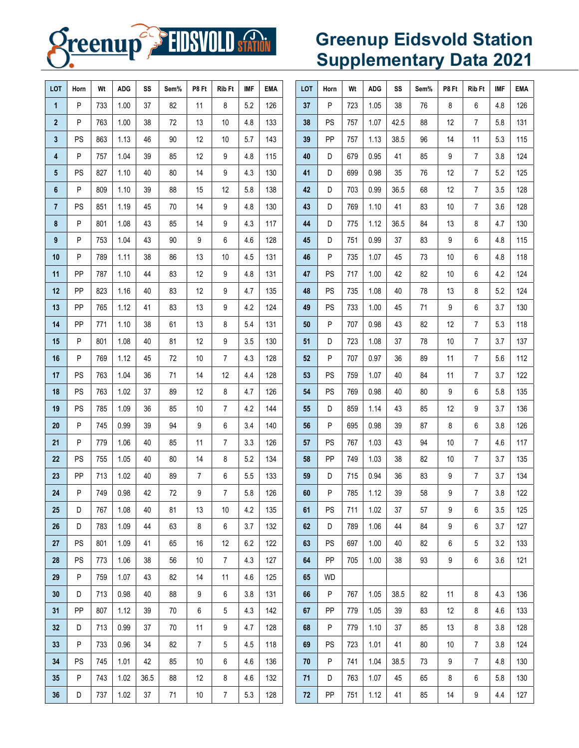

# **Greenup Eidsvold Station Supplementary Data 2021**

| LOT            | Horn      | Wt  | <b>ADG</b> | SS   | Sem% | P8 Ft          | <b>Rib Ft</b>  | <b>IMF</b> | EMA | LOT | Horn      | Wt  | <b>ADG</b> | SS   | Sem% | P8 Ft | Rib Ft         | <b>IMF</b> | <b>EMA</b> |
|----------------|-----------|-----|------------|------|------|----------------|----------------|------------|-----|-----|-----------|-----|------------|------|------|-------|----------------|------------|------------|
| $\mathbf{1}$   | P         | 733 | 1.00       | 37   | 82   | 11             | 8              | 5.2        | 126 | 37  | P         | 723 | 1.05       | 38   | 76   | 8     | 6              | 4.8        | 126        |
| $\overline{2}$ | P         | 763 | 1.00       | 38   | 72   | 13             | 10             | 4.8        | 133 | 38  | <b>PS</b> | 757 | 1.07       | 42.5 | 88   | 12    | $\overline{7}$ | 5.8        | 131        |
| 3              | PS        | 863 | 1.13       | 46   | 90   | 12             | 10             | 5.7        | 143 | 39  | <b>PP</b> | 757 | 1.13       | 38.5 | 96   | 14    | 11             | 5.3        | 115        |
| 4              | P         | 757 | 1.04       | 39   | 85   | 12             | 9              | 4.8        | 115 | 40  | D         | 679 | 0.95       | 41   | 85   | 9     | $\overline{7}$ | 3.8        | 124        |
| 5              | PS        | 827 | 1.10       | 40   | 80   | 14             | 9              | 4.3        | 130 | 41  | D         | 699 | 0.98       | 35   | 76   | 12    | $\overline{7}$ | 5.2        | 125        |
| 6              | P         | 809 | 1.10       | 39   | 88   | 15             | 12             | 5.8        | 138 | 42  | D         | 703 | 0.99       | 36.5 | 68   | 12    | $\overline{7}$ | 3.5        | 128        |
| $\overline{7}$ | PS        | 851 | 1.19       | 45   | 70   | 14             | 9              | 4.8        | 130 | 43  | D         | 769 | 1.10       | 41   | 83   | 10    | $\overline{7}$ | 3.6        | 128        |
| 8              | P         | 801 | 1.08       | 43   | 85   | 14             | 9              | 4.3        | 117 | 44  | D         | 775 | 1.12       | 36.5 | 84   | 13    | 8              | 4.7        | 130        |
| 9              | P         | 753 | 1.04       | 43   | 90   | 9              | 6              | 4.6        | 128 | 45  | D         | 751 | 0.99       | 37   | 83   | 9     | 6              | 4.8        | 115        |
| 10             | P         | 789 | 1.11       | 38   | 86   | 13             | 10             | 4.5        | 131 | 46  | P         | 735 | 1.07       | 45   | 73   | 10    | 6              | 4.8        | 118        |
| 11             | PP        | 787 | 1.10       | 44   | 83   | 12             | 9              | 4.8        | 131 | 47  | PS        | 717 | 1.00       | 42   | 82   | 10    | 6              | 4.2        | 124        |
| 12             | PP        | 823 | 1.16       | 40   | 83   | 12             | 9              | 4.7        | 135 | 48  | <b>PS</b> | 735 | 1.08       | 40   | 78   | 13    | 8              | 5.2        | 124        |
| 13             | PP        | 765 | 1.12       | 41   | 83   | 13             | 9              | 4.2        | 124 | 49  | <b>PS</b> | 733 | 1.00       | 45   | 71   | 9     | 6              | 3.7        | 130        |
| 14             | PP        | 771 | 1.10       | 38   | 61   | 13             | 8              | 5.4        | 131 | 50  | P         | 707 | 0.98       | 43   | 82   | 12    | $\overline{7}$ | 5.3        | 118        |
| 15             | P         | 801 | 1.08       | 40   | 81   | 12             | 9              | 3.5        | 130 | 51  | D         | 723 | 1.08       | 37   | 78   | 10    | $\overline{7}$ | 3.7        | 137        |
| 16             | P         | 769 | 1.12       | 45   | 72   | 10             | 7              | 4.3        | 128 | 52  | P         | 707 | 0.97       | 36   | 89   | 11    | $\overline{7}$ | 5.6        | 112        |
| 17             | <b>PS</b> | 763 | 1.04       | 36   | 71   | 14             | 12             | 4.4        | 128 | 53  | <b>PS</b> | 759 | 1.07       | 40   | 84   | 11    | $\overline{7}$ | 3.7        | 122        |
| 18             | <b>PS</b> | 763 | 1.02       | 37   | 89   | 12             | 8              | 4.7        | 126 | 54  | <b>PS</b> | 769 | 0.98       | 40   | 80   | 9     | 6              | 5.8        | 135        |
| 19             | <b>PS</b> | 785 | 1.09       | 36   | 85   | 10             | $\overline{7}$ | 4.2        | 144 | 55  | D         | 859 | 1.14       | 43   | 85   | 12    | 9              | 3.7        | 136        |
| 20             | P         | 745 | 0.99       | 39   | 94   | 9              | 6              | 3.4        | 140 | 56  | P         | 695 | 0.98       | 39   | 87   | 8     | 6              | 3.8        | 126        |
| 21             | P         | 779 | 1.06       | 40   | 85   | 11             | $\overline{7}$ | 3.3        | 126 | 57  | <b>PS</b> | 767 | 1.03       | 43   | 94   | 10    | $\overline{7}$ | 4.6        | 117        |
| 22             | <b>PS</b> | 755 | 1.05       | 40   | 80   | 14             | 8              | 5.2        | 134 | 58  | PP        | 749 | 1.03       | 38   | 82   | 10    | $\overline{7}$ | 3.7        | 135        |
| 23             | PP        | 713 | 1.02       | 40   | 89   | $\overline{7}$ | 6              | 5.5        | 133 | 59  | D         | 715 | 0.94       | 36   | 83   | 9     | $\overline{7}$ | 3.7        | 134        |
| 24             | P         | 749 | 0.98       | 42   | 72   | 9              | 7              | 5.8        | 126 | 60  | P         | 785 | 1.12       | 39   | 58   | 9     | $\overline{7}$ | 3.8        | 122        |
| 25             | D         | 767 | 1.08       | 40   | 81   | 13             | 10             | 4.2        | 135 | 61  | <b>PS</b> | 711 | 1.02       | 37   | 57   | 9     | 6              | 3.5        | 125        |
| 26             | D         | 783 | 1.09       | 44   | 63   | 8              | 6              | 3.7        | 132 | 62  | D         | 789 | 1.06       | 44   | 84   | 9     | 6              | 3.7        | 127        |
| 27             | <b>PS</b> | 801 | 1.09       | 41   | 65   | 16             | 12             | 6.2        | 122 | 63  | <b>PS</b> | 697 | 1.00       | 40   | 82   | 6     | 5              | 3.2        | 133        |
| 28             | <b>PS</b> | 773 | 1.06       | 38   | 56   | 10             | $\overline{7}$ | 4.3        | 127 | 64  | PP        | 705 | 1.00       | 38   | 93   | 9     | 6              | 3.6        | 121        |
| 29             | P         | 759 | 1.07       | 43   | 82   | 14             | 11             | 4.6        | 125 | 65  | <b>WD</b> |     |            |      |      |       |                |            |            |
| 30             | D         | 713 | 0.98       | 40   | 88   | 9              | 6              | 3.8        | 131 | 66  | P         | 767 | 1.05       | 38.5 | 82   | 11    | 8              | 4.3        | 136        |
| 31             | PP        | 807 | 1.12       | 39   | 70   | 6              | 5              | 4.3        | 142 | 67  | PP        | 779 | 1.05       | 39   | 83   | 12    | 8              | 4.6        | 133        |
| 32             | D         | 713 | 0.99       | 37   | 70   | 11             | 9              | 4.7        | 128 | 68  | P         | 779 | 1.10       | 37   | 85   | 13    | 8              | 3.8        | 128        |
| 33             | P         | 733 | 0.96       | 34   | 82   | $\overline{7}$ | 5              | 4.5        | 118 | 69  | <b>PS</b> | 723 | 1.01       | 41   | 80   | 10    | 7              | 3.8        | 124        |
| 34             | <b>PS</b> | 745 | 1.01       | 42   | 85   | 10             | 6              | 4.6        | 136 | 70  | P         | 741 | 1.04       | 38.5 | 73   | 9     | $\overline{7}$ | 4.8        | 130        |
| 35             | P         | 743 | 1.02       | 36.5 | 88   | 12             | 8              | 4.6        | 132 | 71  | D         | 763 | 1.07       | 45   | 65   | 8     | 6              | 5.8        | 130        |
| 36             | D         | 737 | 1.02       | 37   | 71   | 10             | 7              | 5.3        | 128 | 72  | PP        | 751 | 1.12       | 41   | 85   | 14    | 9              | 4.4        | 127        |